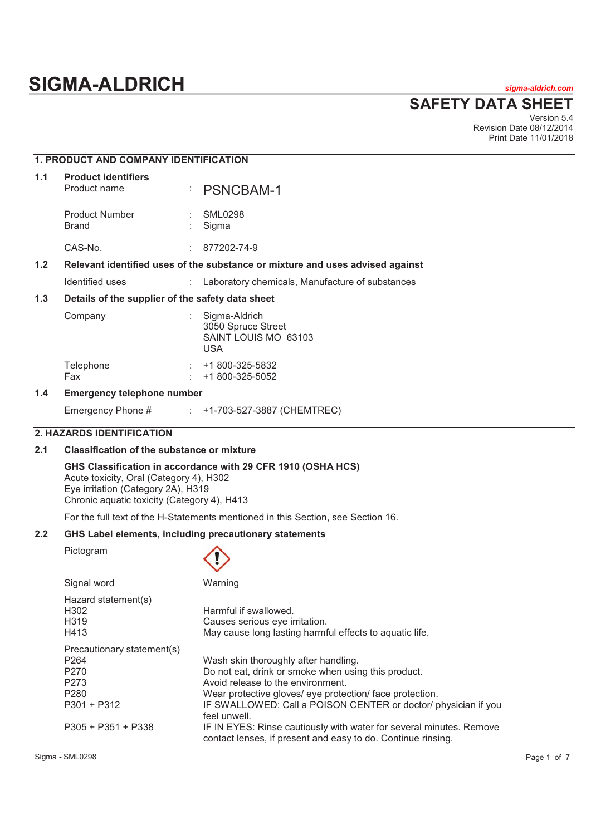# **SIGMA-ALDRICH** *sigma-aldrich.com*

**SAFETY DATA SHEET**

Version 5.4 Revision Date 08/12/2014 Print Date 11/01/2018

|     | <b>1. PRODUCT AND COMPANY IDENTIFICATION</b>     |    |                                                                               |
|-----|--------------------------------------------------|----|-------------------------------------------------------------------------------|
| 1.1 | <b>Product identifiers</b><br>Product name       | ÷. | <b>PSNCBAM-1</b>                                                              |
|     | <b>Product Number</b><br><b>Brand</b>            |    | <b>SML0298</b><br>Sigma                                                       |
|     | CAS-No.                                          |    | 877202-74-9                                                                   |
| 1.2 |                                                  |    | Relevant identified uses of the substance or mixture and uses advised against |
|     | Identified uses                                  |    | : Laboratory chemicals, Manufacture of substances                             |
| 1.3 | Details of the supplier of the safety data sheet |    |                                                                               |
|     | Company                                          |    | Sigma-Aldrich<br>3050 Spruce Street<br>SAINT LOUIS MO 63103<br><b>USA</b>     |
|     | Telephone<br>Fax                                 |    | +1 800-325-5832<br>+1 800-325-5052                                            |
| 1.4 | <b>Emergency telephone number</b>                |    |                                                                               |

# Emergency Phone # : +1-703-527-3887 (CHEMTREC)

# **2. HAZARDS IDENTIFICATION**

# **2.1 Classification of the substance or mixture**

# **GHS Classification in accordance with 29 CFR 1910 (OSHA HCS)**

Acute toxicity, Oral (Category 4), H302 Eye irritation (Category 2A), H319 Chronic aquatic toxicity (Category 4), H413

Signal word Warning

For the full text of the H-Statements mentioned in this Section, see Section 16.

# **2.2 GHS Label elements, including precautionary statements**

Pictogram

| Hazard statement(s)<br>H302<br>H319 | Harmful if swallowed.<br>Causes serious eye irritation.                                                                             |
|-------------------------------------|-------------------------------------------------------------------------------------------------------------------------------------|
| H413                                | May cause long lasting harmful effects to aquatic life.                                                                             |
| Precautionary statement(s)          |                                                                                                                                     |
| P <sub>264</sub>                    | Wash skin thoroughly after handling.                                                                                                |
| P <sub>270</sub>                    | Do not eat, drink or smoke when using this product.                                                                                 |
| P273                                | Avoid release to the environment.                                                                                                   |
| P <sub>280</sub>                    | Wear protective gloves/ eye protection/ face protection.                                                                            |
| $P301 + P312$                       | IF SWALLOWED: Call a POISON CENTER or doctor/ physician if you<br>feel unwell.                                                      |
| $P305 + P351 + P338$                | IF IN EYES: Rinse cautiously with water for several minutes. Remove<br>contact lenses, if present and easy to do. Continue rinsing. |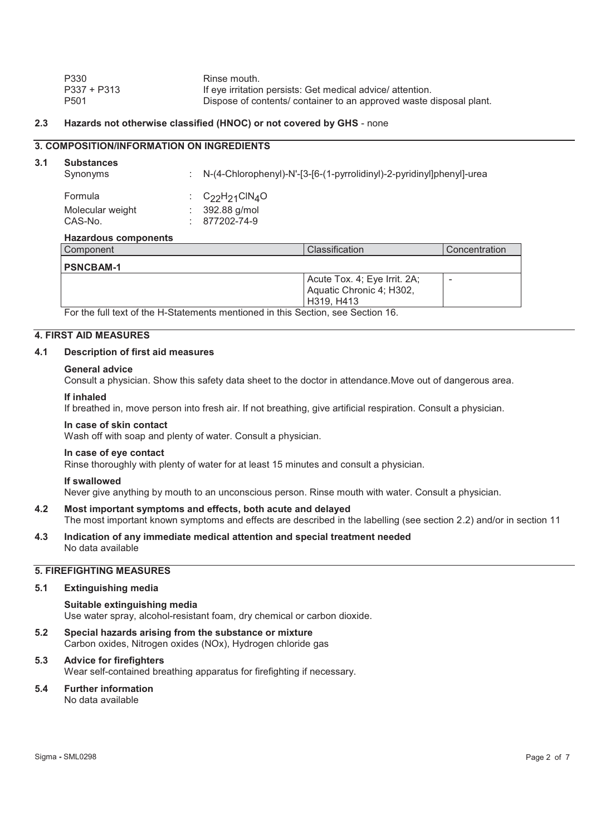| P330             | Rinse mouth.                                                        |
|------------------|---------------------------------------------------------------------|
| $P337 + P313$    | If eye irritation persists: Get medical advice/ attention.          |
| P <sub>501</sub> | Dispose of contents/ container to an approved waste disposal plant. |

# **2.3 Hazards not otherwise classified (HNOC) or not covered by GHS** - none

# **3. COMPOSITION/INFORMATION ON INGREDIENTS**

# **3.1 Substances**

| Synonyms                    |                        | N-(4-Chlorophenyl)-N'-[3-[6-(1-pyrrolidinyl)-2-pyridinyl]phenyl]-urea |              |
|-----------------------------|------------------------|-----------------------------------------------------------------------|--------------|
| Formula                     | : $C_{22}H_{21}CIN_4O$ |                                                                       |              |
| Molecular weight            | 392.88 g/mol           |                                                                       |              |
| CAS-No.                     | 877202-74-9            |                                                                       |              |
| <b>Hazardous components</b> |                        |                                                                       |              |
| Component                   |                        | Classification                                                        | Concentratio |

| Component        | <b>Classification</b>                                                  | Concentration |
|------------------|------------------------------------------------------------------------|---------------|
| <b>PSNCBAM-1</b> |                                                                        |               |
|                  | Acute Tox. 4; Eye Irrit. 2A;<br>Aquatic Chronic 4; H302,<br>H319, H413 |               |

For the full text of the H-Statements mentioned in this Section, see Section 16.

# **4. FIRST AID MEASURES**

# **4.1 Description of first aid measures**

#### **General advice**

Consult a physician. Show this safety data sheet to the doctor in attendance.Move out of dangerous area.

#### **If inhaled**

If breathed in, move person into fresh air. If not breathing, give artificial respiration. Consult a physician.

#### **In case of skin contact**

Wash off with soap and plenty of water. Consult a physician.

#### **In case of eye contact**

Rinse thoroughly with plenty of water for at least 15 minutes and consult a physician.

## **If swallowed**

Never give anything by mouth to an unconscious person. Rinse mouth with water. Consult a physician.

- **4.2 Most important symptoms and effects, both acute and delayed**  The most important known symptoms and effects are described in the labelling (see section 2.2) and/or in section 11
- **4.3 Indication of any immediate medical attention and special treatment needed**  No data available

# **5. FIREFIGHTING MEASURES**

# **5.1 Extinguishing media**

**Suitable extinguishing media**  Use water spray, alcohol-resistant foam, dry chemical or carbon dioxide.

- **5.2 Special hazards arising from the substance or mixture**  Carbon oxides, Nitrogen oxides (NOx), Hydrogen chloride gas
- **5.3 Advice for firefighters**  Wear self-contained breathing apparatus for firefighting if necessary.

# **5.4 Further information**

No data available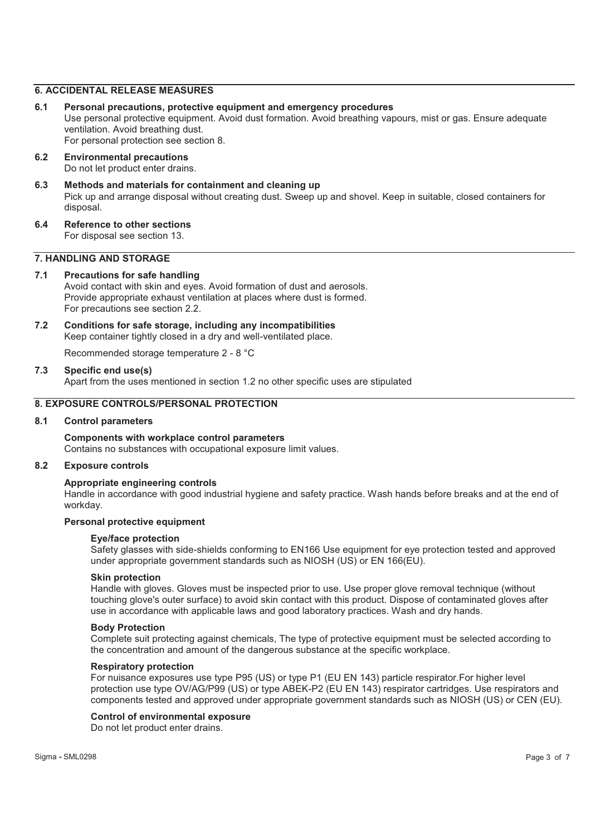# **6. ACCIDENTAL RELEASE MEASURES**

- **6.1 Personal precautions, protective equipment and emergency procedures**  Use personal protective equipment. Avoid dust formation. Avoid breathing vapours, mist or gas. Ensure adequate ventilation. Avoid breathing dust. For personal protection see section 8.
- **6.2 Environmental precautions**  Do not let product enter drains.
- **6.3 Methods and materials for containment and cleaning up**  Pick up and arrange disposal without creating dust. Sweep up and shovel. Keep in suitable, closed containers for disposal.
- **6.4 Reference to other sections**  For disposal see section 13.

# **7. HANDLING AND STORAGE**

#### **7.1 Precautions for safe handling**

Avoid contact with skin and eyes. Avoid formation of dust and aerosols. Provide appropriate exhaust ventilation at places where dust is formed. For precautions see section 2.2.

**7.2 Conditions for safe storage, including any incompatibilities**  Keep container tightly closed in a dry and well-ventilated place.

Recommended storage temperature 2 - 8 °C

#### **7.3 Specific end use(s)**

Apart from the uses mentioned in section 1.2 no other specific uses are stipulated

# **8. EXPOSURE CONTROLS/PERSONAL PROTECTION**

#### **8.1 Control parameters**

# **Components with workplace control parameters**

Contains no substances with occupational exposure limit values.

# **8.2 Exposure controls**

# **Appropriate engineering controls**

Handle in accordance with good industrial hygiene and safety practice. Wash hands before breaks and at the end of workday.

#### **Personal protective equipment**

#### **Eye/face protection**

Safety glasses with side-shields conforming to EN166 Use equipment for eye protection tested and approved under appropriate government standards such as NIOSH (US) or EN 166(EU).

#### **Skin protection**

Handle with gloves. Gloves must be inspected prior to use. Use proper glove removal technique (without touching glove's outer surface) to avoid skin contact with this product. Dispose of contaminated gloves after use in accordance with applicable laws and good laboratory practices. Wash and dry hands.

#### **Body Protection**

Complete suit protecting against chemicals, The type of protective equipment must be selected according to the concentration and amount of the dangerous substance at the specific workplace.

#### **Respiratory protection**

For nuisance exposures use type P95 (US) or type P1 (EU EN 143) particle respirator.For higher level protection use type OV/AG/P99 (US) or type ABEK-P2 (EU EN 143) respirator cartridges. Use respirators and components tested and approved under appropriate government standards such as NIOSH (US) or CEN (EU).

## **Control of environmental exposure**

Do not let product enter drains.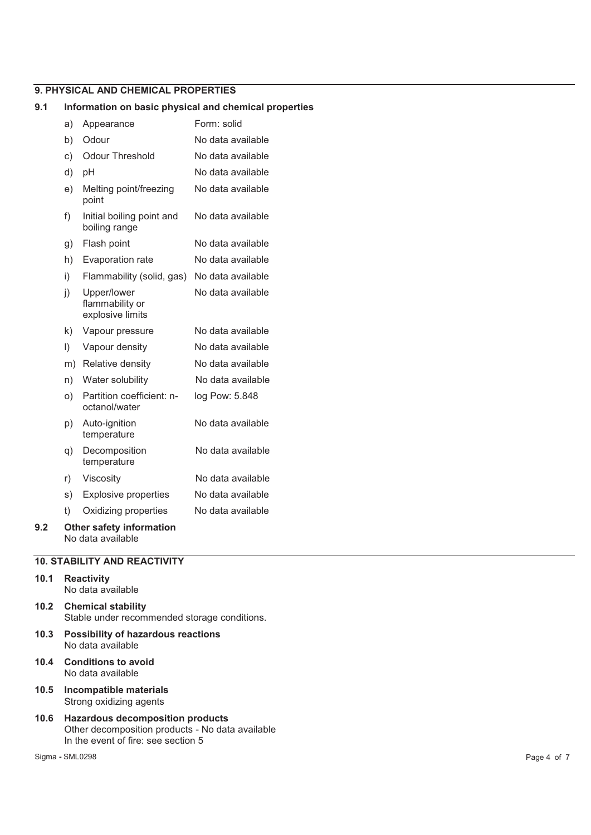# **9. PHYSICAL AND CHEMICAL PROPERTIES**

# **9.1 Information on basic physical and chemical properties**

|     | a)      | Appearance                                         | Form: solid       |
|-----|---------|----------------------------------------------------|-------------------|
|     | b)      | Odour                                              | No data available |
|     | c)      | <b>Odour Threshold</b>                             | No data available |
|     | d)      | рH                                                 | No data available |
|     | e)      | Melting point/freezing<br>point                    | No data available |
|     | f)      | Initial boiling point and<br>boiling range         | No data available |
|     | g)      | Flash point                                        | No data available |
|     | h)      | Evaporation rate                                   | No data available |
|     | i)      | Flammability (solid, gas)                          | No data available |
|     | j)      | Upper/lower<br>flammability or<br>explosive limits | No data available |
|     | k)      | Vapour pressure                                    | No data available |
|     | $\vert$ | Vapour density                                     | No data available |
|     | m)      | Relative density                                   | No data available |
|     | n)      | Water solubility                                   | No data available |
|     | O)      | Partition coefficient: n-<br>octanol/water         | log Pow: 5.848    |
|     | p)      | Auto-ignition<br>temperature                       | No data available |
|     | q)      | Decomposition<br>temperature                       | No data available |
|     | r)      | Viscosity                                          | No data available |
|     | s)      | <b>Explosive properties</b>                        | No data available |
|     | t)      | Oxidizing properties                               | No data available |
| 9.2 |         | <b>Other safety information</b>                    |                   |

No data available

# **10. STABILITY AND REACTIVITY**

#### **10.1 Reactivity**  No data available

- **10.2 Chemical stability**  Stable under recommended storage conditions.
- **10.3 Possibility of hazardous reactions**  No data available
- **10.4 Conditions to avoid**  No data available
- **10.5 Incompatible materials**  Strong oxidizing agents
- **10.6 Hazardous decomposition products**  Other decomposition products - No data available In the event of fire: see section 5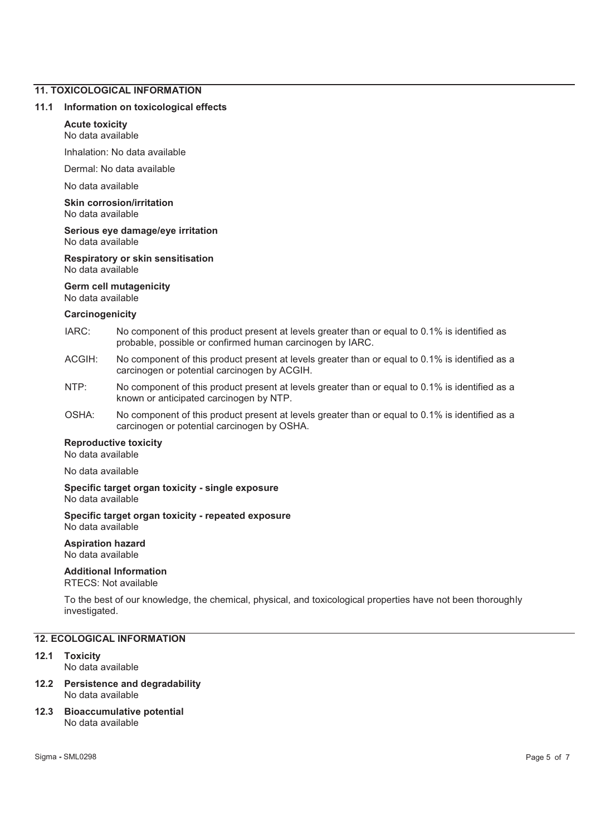# **11. TOXICOLOGICAL INFORMATION**

#### **11.1 Information on toxicological effects**

# **Acute toxicity**

No data available

Inhalation: No data available

Dermal: No data available

No data available

**Skin corrosion/irritation**  No data available

#### **Serious eye damage/eye irritation**  No data available

**Respiratory or skin sensitisation**  No data available

# **Germ cell mutagenicity**

No data available

# **Carcinogenicity**

- IARC: No component of this product present at levels greater than or equal to 0.1% is identified as probable, possible or confirmed human carcinogen by IARC.
- ACGIH: No component of this product present at levels greater than or equal to 0.1% is identified as a carcinogen or potential carcinogen by ACGIH.
- NTP: No component of this product present at levels greater than or equal to 0.1% is identified as a known or anticipated carcinogen by NTP.
- OSHA: No component of this product present at levels greater than or equal to 0.1% is identified as a carcinogen or potential carcinogen by OSHA.

# **Reproductive toxicity**

No data available

No data available

#### **Specific target organ toxicity - single exposure**  No data available

#### **Specific target organ toxicity - repeated exposure**  No data available

## **Aspiration hazard**  No data available

# **Additional Information**

RTECS: Not available

To the best of our knowledge, the chemical, physical, and toxicological properties have not been thoroughly investigated.

# **12. ECOLOGICAL INFORMATION**

# **12.1 Toxicity**

No data available

#### **12.2 Persistence and degradability**  No data available

#### **12.3 Bioaccumulative potential**  No data available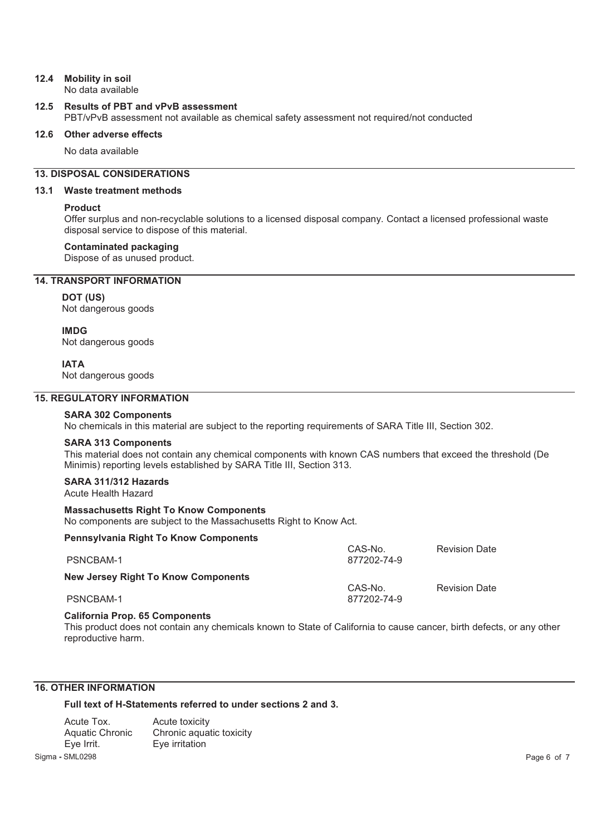#### **12.4 Mobility in soil**  No data available

# **12.5 Results of PBT and vPvB assessment**

PBT/vPvB assessment not available as chemical safety assessment not required/not conducted

# **12.6 Other adverse effects**

No data available

# **13. DISPOSAL CONSIDERATIONS**

# **13.1 Waste treatment methods**

# **Product**

Offer surplus and non-recyclable solutions to a licensed disposal company. Contact a licensed professional waste disposal service to dispose of this material.

# **Contaminated packaging**

Dispose of as unused product.

# **14. TRANSPORT INFORMATION**

# **DOT (US)**

Not dangerous goods

**IMDG** Not dangerous goods

**IATA**

Not dangerous goods

# **15. REGULATORY INFORMATION**

**SARA 302 Components**  No chemicals in this material are subject to the reporting requirements of SARA Title III, Section 302.

# **SARA 313 Components**

This material does not contain any chemical components with known CAS numbers that exceed the threshold (De Minimis) reporting levels established by SARA Title III, Section 313.

#### **SARA 311/312 Hazards**  Acute Health Hazard

# **Massachusetts Right To Know Components**

No components are subject to the Massachusetts Right to Know Act.

| <b>Pennsylvania Right To Know Components</b> | CAS-No.                | <b>Revision Date</b> |
|----------------------------------------------|------------------------|----------------------|
| PSNCBAM-1                                    | 877202-74-9            |                      |
| New Jersey Right To Know Components          |                        |                      |
| PSNCBAM-1                                    | CAS-No.<br>877202-74-9 | <b>Revision Date</b> |

# **California Prop. 65 Components**

This product does not contain any chemicals known to State of California to cause cancer, birth defects, or any other reproductive harm.

# **16. OTHER INFORMATION**

**Full text of H-Statements referred to under sections 2 and 3.** 

| Acute Tox.      | Acute toxicity           |             |
|-----------------|--------------------------|-------------|
| Aquatic Chronic | Chronic aguatic toxicity |             |
| Eve Irrit.      | Eve irritation           |             |
| Sigma - SML0298 |                          | Page 6 of 7 |